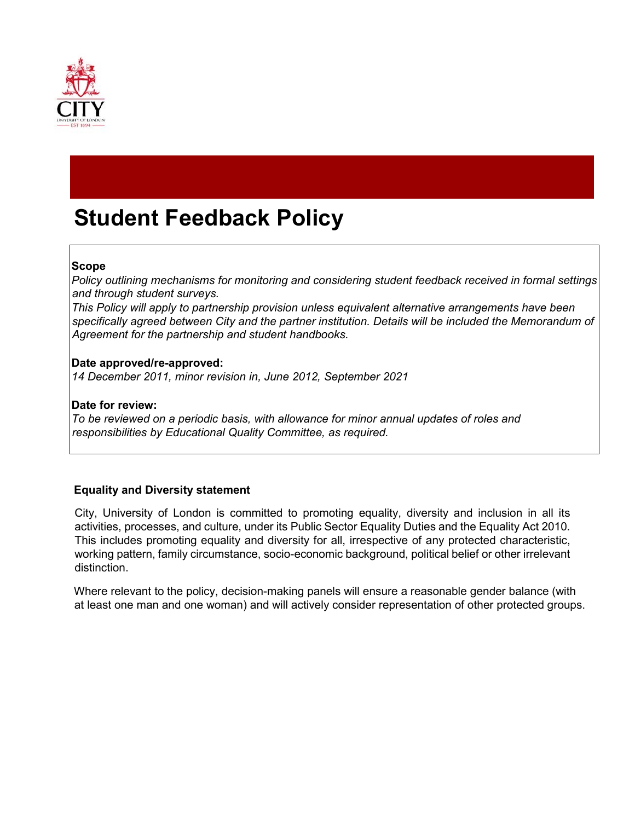

# **Student Feedback Policy**

# **Scope**

*Policy outlining mechanisms for monitoring and considering student feedback received in formal settings and through student surveys.* 

*This Policy will apply to partnership provision unless equivalent alternative arrangements have been specifically agreed between City and the partner institution. Details will be included the Memorandum of Agreement for the partnership and student handbooks.* 

# **Date approved/re-approved:**

*14 December 2011, minor revision in, June 2012, September 2021*

#### **Date for review:**

*To be reviewed on a periodic basis, with allowance for minor annual updates of roles and responsibilities by Educational Quality Committee, as required.* 

# **Equality and Diversity statement**

City, University of London is committed to promoting equality, diversity and inclusion in all its activities, processes, and culture, under its Public Sector Equality Duties and the Equality Act 2010. This includes promoting equality and diversity for all, irrespective of any protected characteristic, working pattern, family circumstance, socio-economic background, political belief or other irrelevant distinction.

Where relevant to the policy, decision-making panels will ensure a reasonable gender balance (with at least one man and one woman) and will actively consider representation of other protected groups.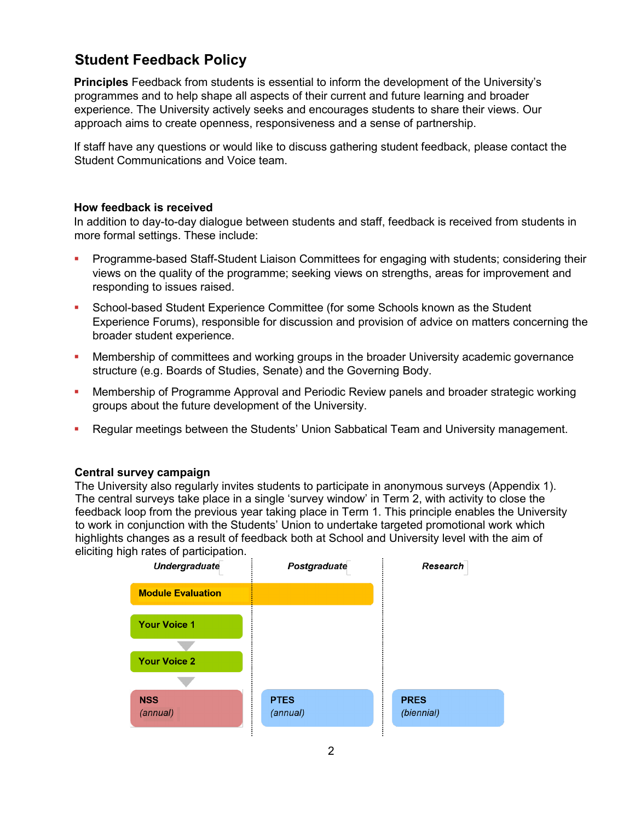# **Student Feedback Policy**

**Principles** Feedback from students is essential to inform the development of the University's programmes and to help shape all aspects of their current and future learning and broader experience. The University actively seeks and encourages students to share their views. Our approach aims to create openness, responsiveness and a sense of partnership.

If staff have any questions or would like to discuss gathering student feedback, please contact the Student Communications and Voice team.

# **How feedback is received**

In addition to day-to-day dialogue between students and staff, feedback is received from students in more formal settings. These include:

- **Programme-based Staff-Student Liaison Committees for engaging with students; considering their in Fig. 3.** views on the quality of the programme; seeking views on strengths, areas for improvement and responding to issues raised.
- **School-based Student Experience Committee (for some Schools known as the Student** Experience Forums), responsible for discussion and provision of advice on matters concerning the broader student experience.
- **Membership of committees and working groups in the broader University academic governance** structure (e.g. Boards of Studies, Senate) and the Governing Body.
- **Membership of Programme Approval and Periodic Review panels and broader strategic working** groups about the future development of the University.
- Regular meetings between the Students' Union Sabbatical Team and University management.

#### **Central survey campaign**

The University also regularly invites students to participate in anonymous surveys (Appendix 1). The central surveys take place in a single 'survey window' in Term 2, with activity to close the feedback loop from the previous year taking place in Term 1. This principle enables the University to work in conjunction with the Students' Union to undertake targeted promotional work which highlights changes as a result of feedback both at School and University level with the aim of eliciting high rates of participation.

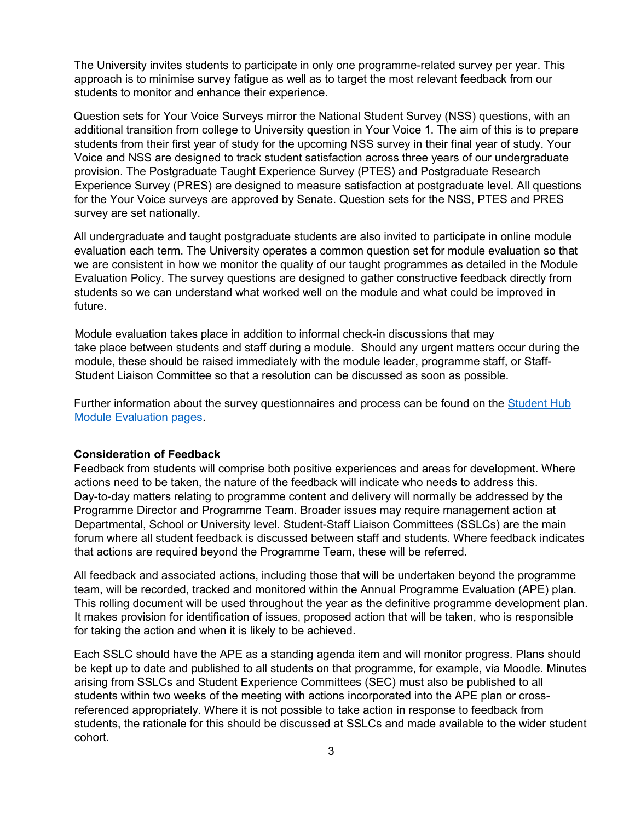The University invites students to participate in only one programme-related survey per year. This approach is to minimise survey fatigue as well as to target the most relevant feedback from our students to monitor and enhance their experience.

Question sets for Your Voice Surveys mirror the National Student Survey (NSS) questions, with an additional transition from college to University question in Your Voice 1. The aim of this is to prepare students from their first year of study for the upcoming NSS survey in their final year of study. Your Voice and NSS are designed to track student satisfaction across three years of our undergraduate provision. The Postgraduate Taught Experience Survey (PTES) and Postgraduate Research Experience Survey (PRES) are designed to measure satisfaction at postgraduate level. All questions for the Your Voice surveys are approved by Senate. Question sets for the NSS, PTES and PRES survey are set nationally.

All undergraduate and taught postgraduate students are also invited to participate in online module evaluation each term. The University operates a common question set for module evaluation so that we are consistent in how we monitor the quality of our taught programmes as detailed in the Module Evaluation Policy. The survey questions are designed to gather constructive feedback directly from students so we can understand what worked well on the module and what could be improved in future.

Module evaluation takes place in addition to informal check-in discussions that may take place between students and staff during a module. Should any urgent matters occur during the module, these should be raised immediately with the module leader, programme staff, or Staff-Student Liaison Committee so that a resolution can be discussed as soon as possible.

Further information about the survey questionnaires and process can be found on the [Student Hub](https://studenthub.city.ac.uk/student-administration/online-module-evaluation-at-city/_nocache)  [Module Evaluation pages.](https://studenthub.city.ac.uk/student-administration/online-module-evaluation-at-city/_nocache)

#### **Consideration of Feedback**

Feedback from students will comprise both positive experiences and areas for development. Where actions need to be taken, the nature of the feedback will indicate who needs to address this. Day-to-day matters relating to programme content and delivery will normally be addressed by the Programme Director and Programme Team. Broader issues may require management action at Departmental, School or University level. Student-Staff Liaison Committees (SSLCs) are the main forum where all student feedback is discussed between staff and students. Where feedback indicates that actions are required beyond the Programme Team, these will be referred.

All feedback and associated actions, including those that will be undertaken beyond the programme team, will be recorded, tracked and monitored within the Annual Programme Evaluation (APE) plan. This rolling document will be used throughout the year as the definitive programme development plan. It makes provision for identification of issues, proposed action that will be taken, who is responsible for taking the action and when it is likely to be achieved.

Each SSLC should have the APE as a standing agenda item and will monitor progress. Plans should be kept up to date and published to all students on that programme, for example, via Moodle. Minutes arising from SSLCs and Student Experience Committees (SEC) must also be published to all students within two weeks of the meeting with actions incorporated into the APE plan or crossreferenced appropriately. Where it is not possible to take action in response to feedback from students, the rationale for this should be discussed at SSLCs and made available to the wider student cohort.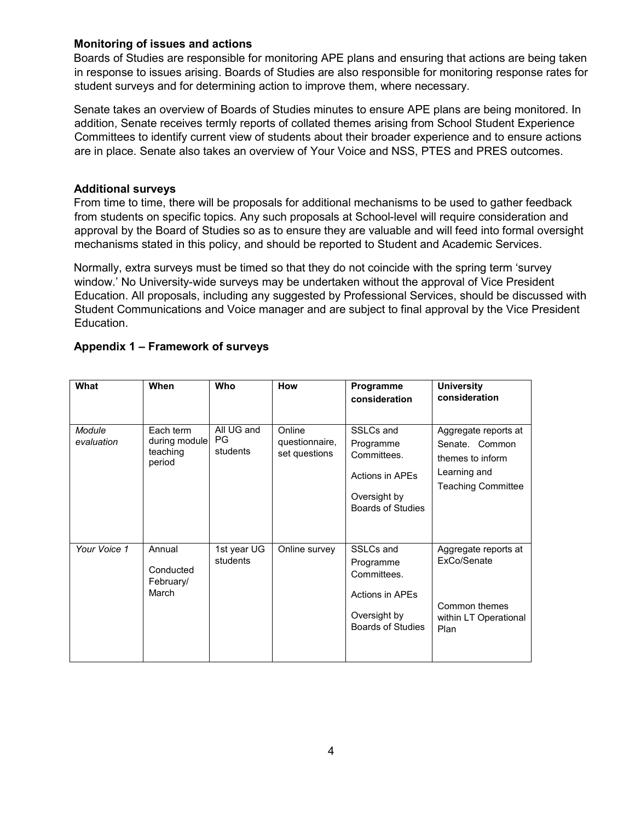#### **Monitoring of issues and actions**

Boards of Studies are responsible for monitoring APE plans and ensuring that actions are being taken in response to issues arising. Boards of Studies are also responsible for monitoring response rates for student surveys and for determining action to improve them, where necessary.

Senate takes an overview of Boards of Studies minutes to ensure APE plans are being monitored. In addition, Senate receives termly reports of collated themes arising from School Student Experience Committees to identify current view of students about their broader experience and to ensure actions are in place. Senate also takes an overview of Your Voice and NSS, PTES and PRES outcomes.

#### **Additional surveys**

From time to time, there will be proposals for additional mechanisms to be used to gather feedback from students on specific topics. Any such proposals at School-level will require consideration and approval by the Board of Studies so as to ensure they are valuable and will feed into formal oversight mechanisms stated in this policy, and should be reported to Student and Academic Services.

Normally, extra surveys must be timed so that they do not coincide with the spring term 'survey window.' No University-wide surveys may be undertaken without the approval of Vice President Education. All proposals, including any suggested by Professional Services, should be discussed with Student Communications and Voice manager and are subject to final approval by the Vice President Education.

| What                 | When                                             | <b>Who</b>                    | <b>How</b>                                | Programme<br>consideration                                                                           | <b>University</b><br>consideration                                                                      |
|----------------------|--------------------------------------------------|-------------------------------|-------------------------------------------|------------------------------------------------------------------------------------------------------|---------------------------------------------------------------------------------------------------------|
| Module<br>evaluation | Each term<br>during module<br>teaching<br>period | All UG and<br>PG.<br>students | Online<br>questionnaire,<br>set questions | SSLCs and<br>Programme<br>Committees.<br>Actions in APEs<br>Oversight by<br><b>Boards of Studies</b> | Aggregate reports at<br>Senate. Common<br>themes to inform<br>Learning and<br><b>Teaching Committee</b> |
| Your Voice 1         | Annual<br>Conducted<br>February/<br>March        | 1st year UG<br>students       | Online survey                             | SSLCs and<br>Programme<br>Committees.<br>Actions in APEs<br>Oversight by<br><b>Boards of Studies</b> | Aggregate reports at<br>ExCo/Senate<br>Common themes<br>within LT Operational<br>Plan                   |

# **Appendix 1 – Framework of surveys**